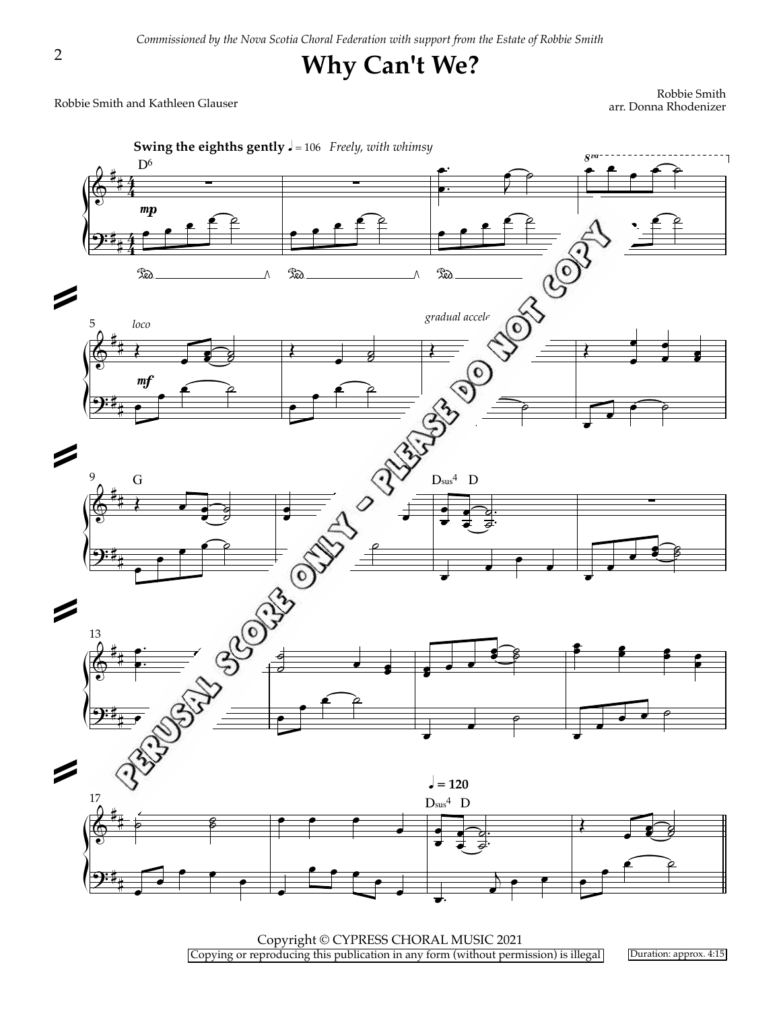## **Why Can't We?**

Robbie Smith and Kathleen Glauser

Robbie Smith<br>arr. Donna Rhodenizer



Copyright © CYPRESS CHORAL MUSIC 2021 Copying or reproducing this publication in any form (without permission) is illegal Duration: approx. 4:15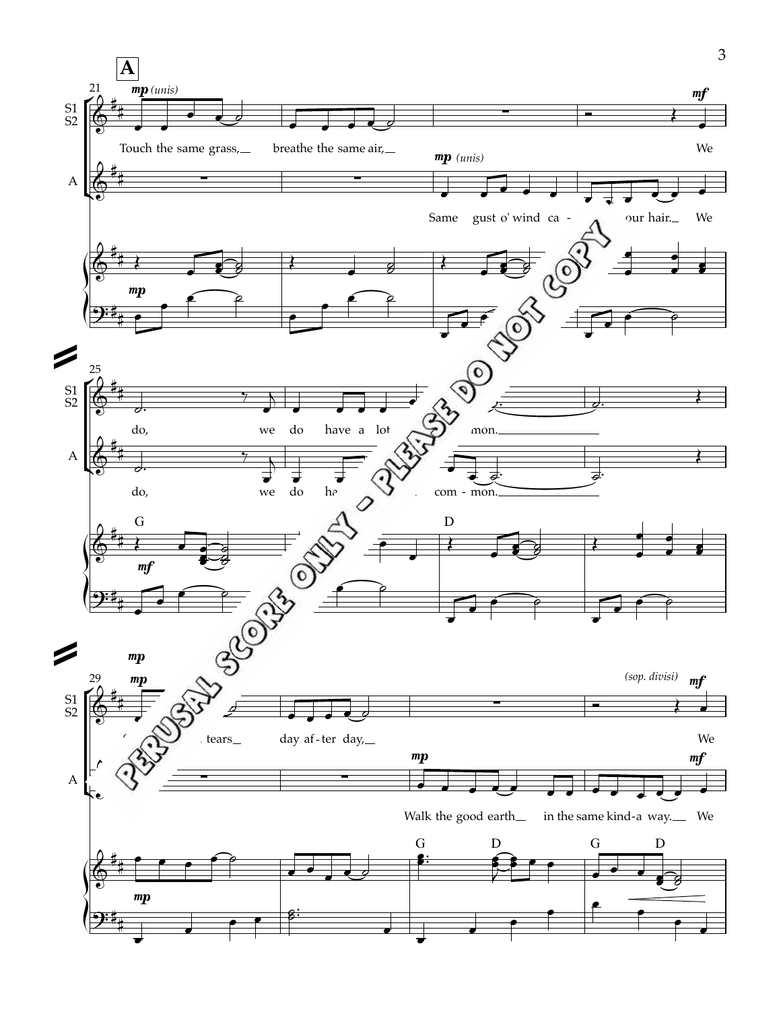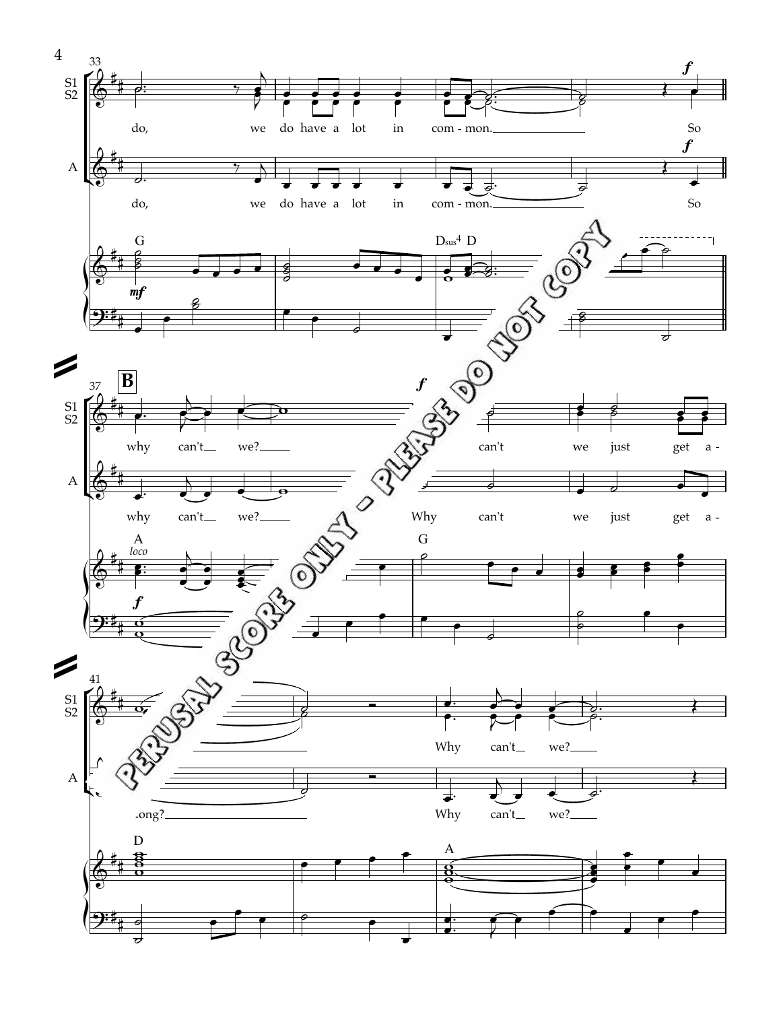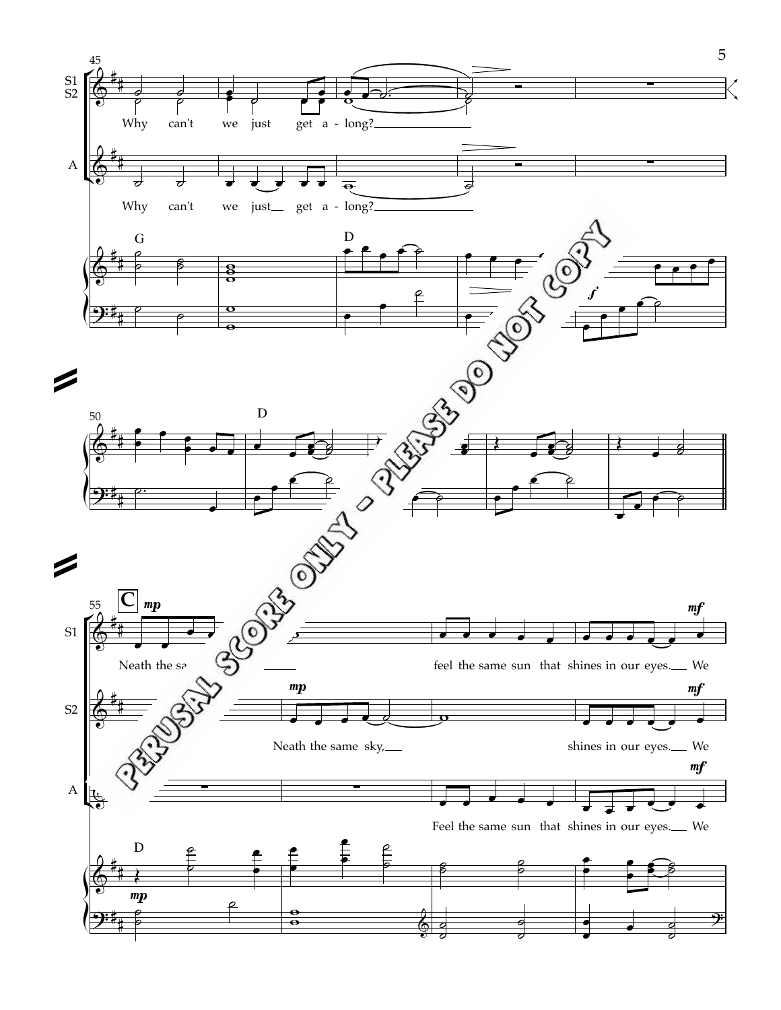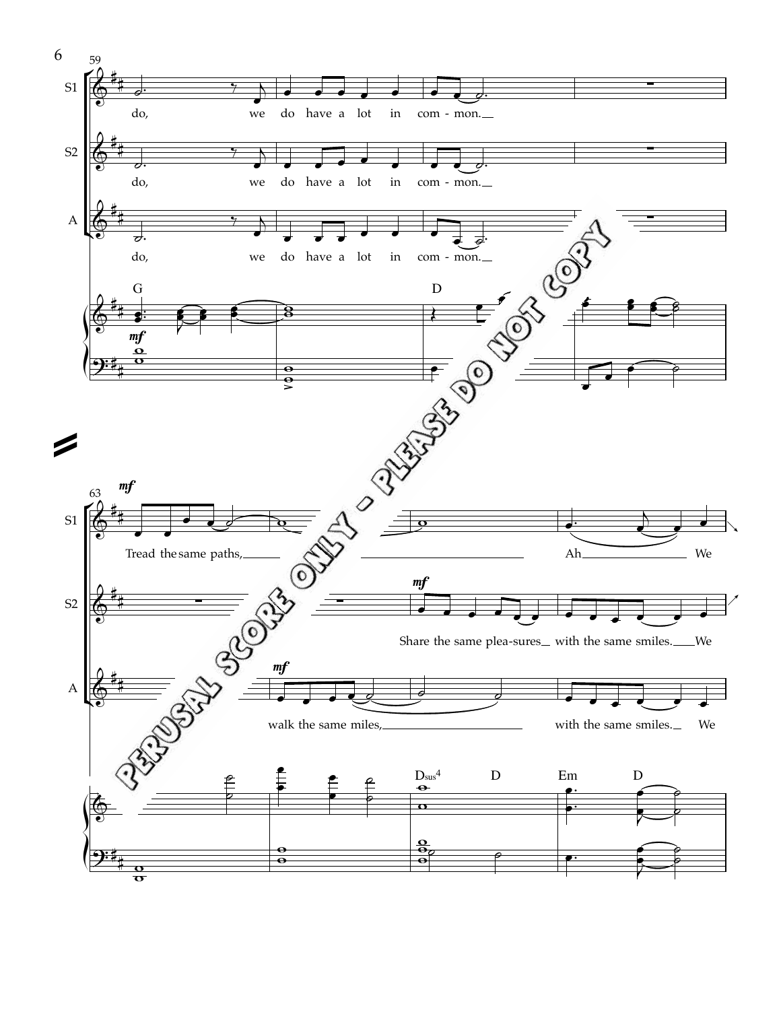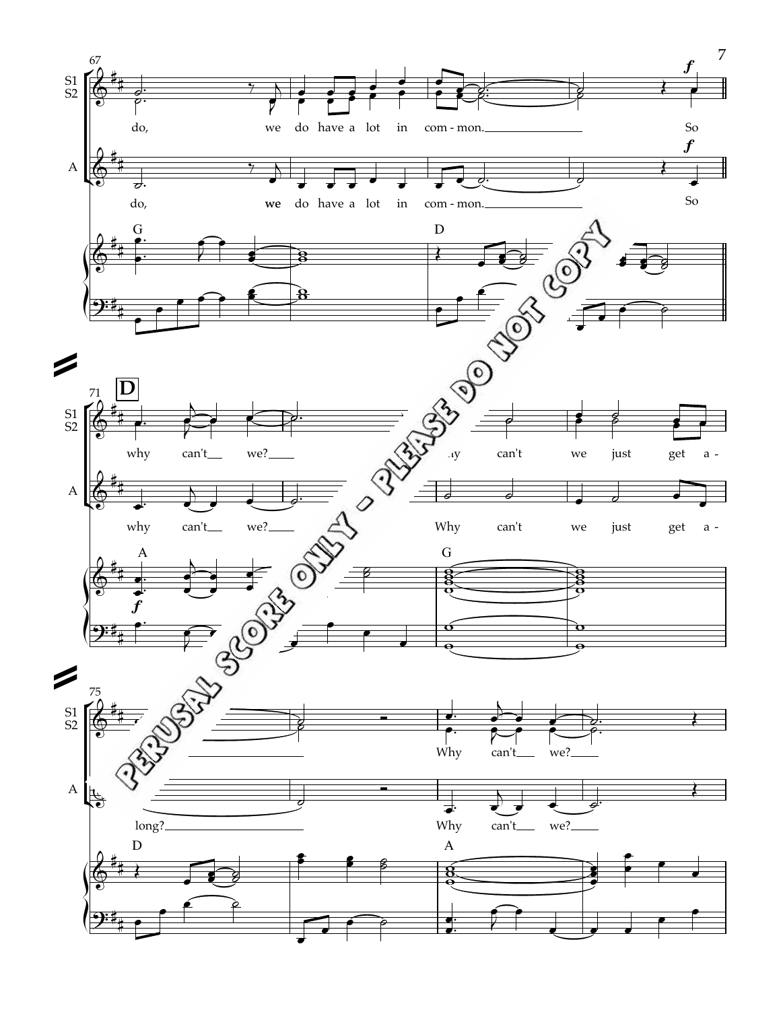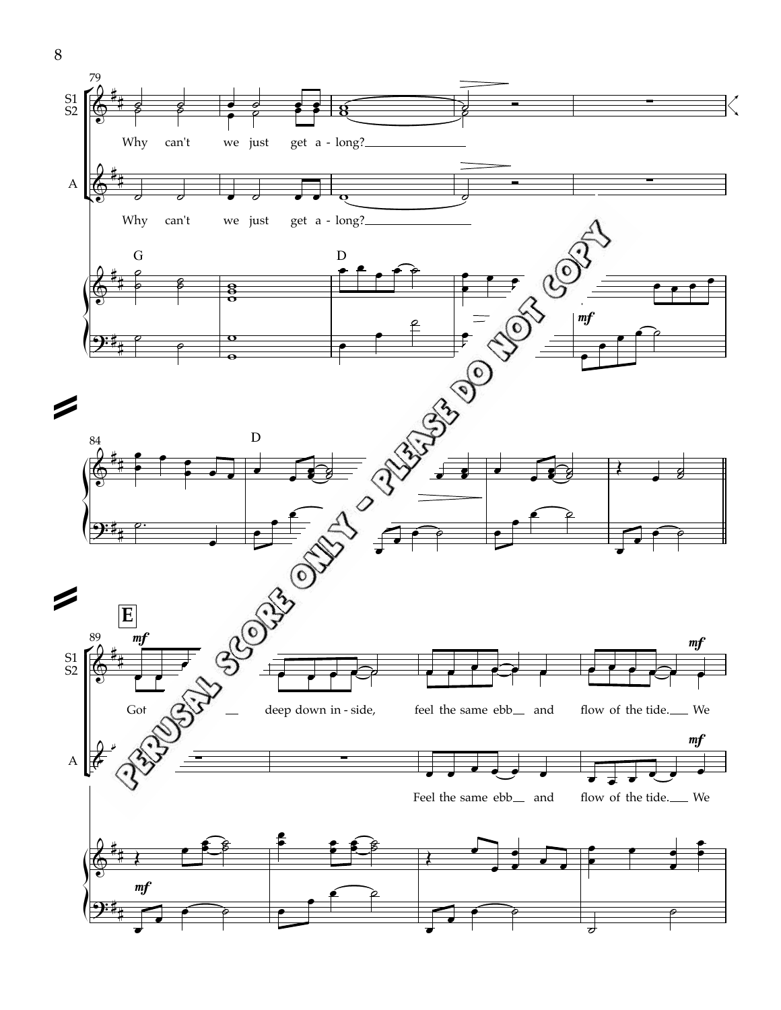

8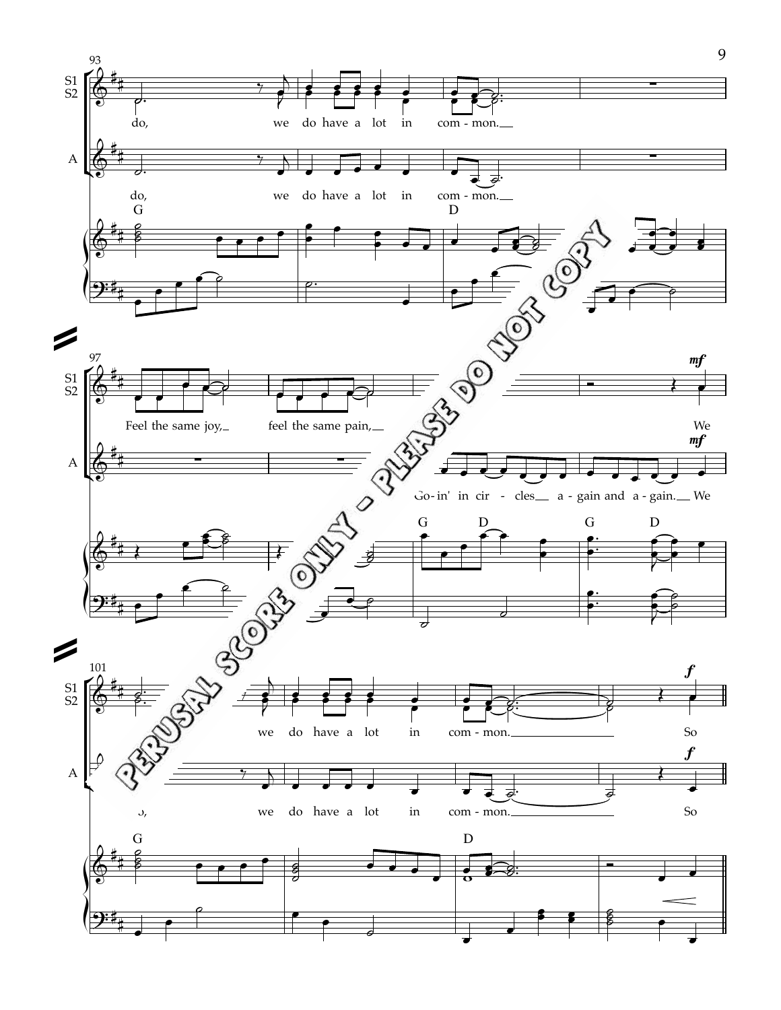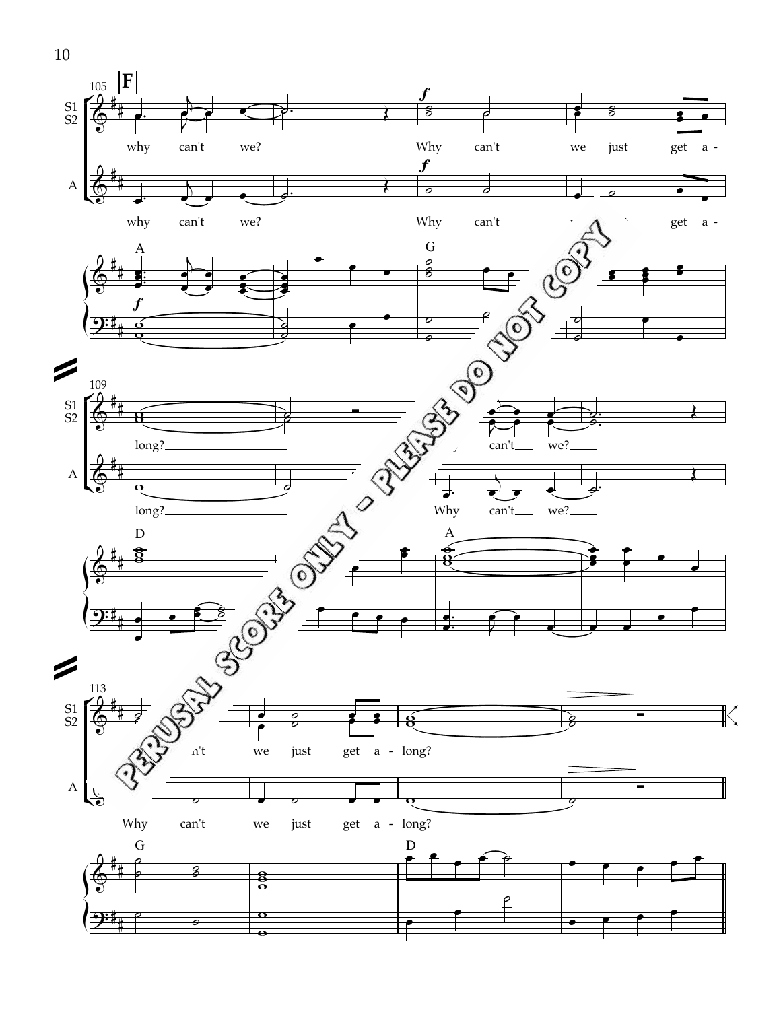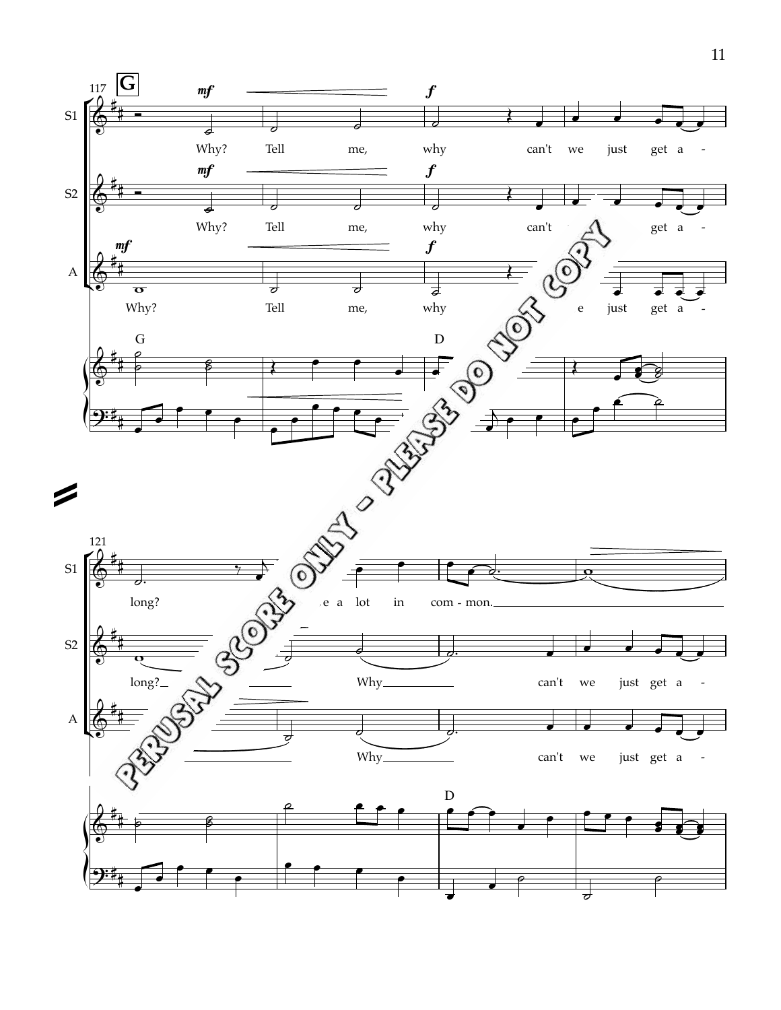

11